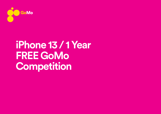

## **iPhone 13 / 1 Year FREE GoMo Competition**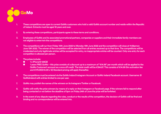

- 1. These competitions are open to current GoMo customers who hold a valid GoMo account number and reside within the Republic of Ireland. Entrants must be aged 18 years and over.
- 2. By entering these competitions, participants agree to these terms and conditions.
- 3. Employees of GoMo and its associated promotional partners, companies or suppliers and their immediate family members are not eligible to enter/win the competitions.
- 4. The competitions will run from Friday 10th June 2022 to Monday 13th June 2022 and the competition will close at 11:59pmon June 13th 2022. The winner of the competition will be selected from all entries received up to that time. The competitions will be moderated and only legitimate entries will be accepted for entry, no inappropriate entries will be counted. Only one entry for each competition is allowed per person.
- 5. The prizes include:
	- 1 x iPhone13 128GB
	- 1 years FREE GoMo this prize consists of a discount up to a maximum of "€14.99" per month which will be applied to the GoMo Customer's account as a once off credit. The total credit will be €194.87. This consists of €14.99 Sim activation fee and €179.99(€14.99 x 12) Standard pricing will apply thereafter.
- 6. The competitions must be entered via the GoMo Ireland Instagram Account or GoMo Ireland Facebook account. Username: @ GoMoIreland with entries limited to one per user.
- 7. GoMo may publish the names of the winners on its Instagram/Twitter or Facebook.
- 8. GoMo will notify the prize winners by means of a reply on their Instagram or Facebook page. If the winners fail to respond after being contacted or not before the deadline of 5pm on Friday 24th of June the prize will be forfeited.
- 9. In the event of any dispute regarding the rules, conduct or the results of the competition, the decision of GoMo will be final and binding and no correspondence will be entered into.